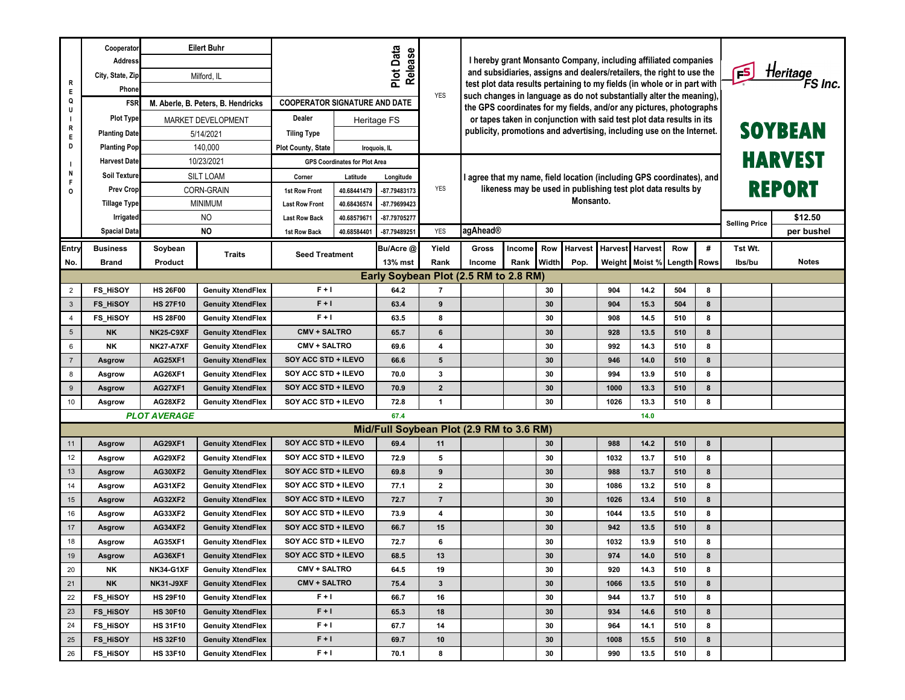|                                     | <b>Eilert Buhr</b><br>Cooperator         |                    |                                                        |                                      |                                      |                                       |                                                                                                                                             |                                                                                                                                          |                                                              |                 |                     |                      |                     |     |            |         |              |  |
|-------------------------------------|------------------------------------------|--------------------|--------------------------------------------------------|--------------------------------------|--------------------------------------|---------------------------------------|---------------------------------------------------------------------------------------------------------------------------------------------|------------------------------------------------------------------------------------------------------------------------------------------|--------------------------------------------------------------|-----------------|---------------------|----------------------|---------------------|-----|------------|---------|--------------|--|
|                                     | <b>Address</b>                           | Milford, IL        |                                                        | Plot Data<br>Release                 |                                      |                                       |                                                                                                                                             | I hereby grant Monsanto Company, including affiliated companies<br>and subsidiaries, assigns and dealers/retailers, the right to use the |                                                              |                 |                     |                      |                     |     |            |         |              |  |
| R                                   | City, State, Zip                         |                    |                                                        |                                      |                                      |                                       |                                                                                                                                             |                                                                                                                                          |                                                              | FS <sub>.</sub> | Heritage<br>FS Inc. |                      |                     |     |            |         |              |  |
| Е                                   | Phone                                    |                    |                                                        |                                      |                                      | <b>YES</b>                            | test plot data results pertaining to my fields (in whole or in part with                                                                    |                                                                                                                                          |                                                              |                 |                     |                      |                     |     |            |         |              |  |
| Q<br>U                              | <b>FSR</b>                               |                    | M. Aberle, B. Peters, B. Hendricks                     | <b>COOPERATOR SIGNATURE AND DATE</b> |                                      |                                       | such changes in language as do not substantially alter the meaning),<br>the GPS coordinates for my fields, and/or any pictures, photographs |                                                                                                                                          |                                                              |                 |                     |                      |                     |     |            |         |              |  |
|                                     | <b>Plot Type</b>                         | MARKET DEVELOPMENT |                                                        | Dealer                               |                                      | Heritage FS                           |                                                                                                                                             | or tapes taken in conjunction with said test plot data results in its                                                                    |                                                              |                 |                     |                      |                     |     |            |         |              |  |
| R<br>Е                              | <b>Planting Date</b>                     |                    | <b>Tiling Type</b><br>5/14/2021                        |                                      |                                      |                                       |                                                                                                                                             | publicity, promotions and advertising, including use on the Internet.                                                                    |                                                              |                 | <b>SOYBEAN</b>      |                      |                     |     |            |         |              |  |
| D                                   | <b>Planting Pop</b>                      |                    | 140,000                                                | <b>Plot County, State</b>            |                                      | Iroquois, IL                          |                                                                                                                                             |                                                                                                                                          |                                                              |                 |                     |                      |                     |     |            |         |              |  |
|                                     | <b>Harvest Date</b>                      |                    | 10/23/2021                                             |                                      | <b>GPS Coordinates for Plot Area</b> |                                       |                                                                                                                                             |                                                                                                                                          |                                                              |                 |                     | HARVEST              |                     |     |            |         |              |  |
| N<br>F                              | <b>Soil Texture</b>                      |                    | <b>SILT LOAM</b><br>Corner                             |                                      |                                      | Longitude                             |                                                                                                                                             | I agree that my name, field location (including GPS coordinates), and                                                                    |                                                              |                 |                     |                      |                     |     |            |         |              |  |
| 0                                   | <b>Prev Crop</b>                         |                    | CORN-GRAIN                                             | 1st Row Front                        | 40.68441479                          | -87.79483173                          | <b>YES</b>                                                                                                                                  |                                                                                                                                          | likeness may be used in publishing test plot data results by |                 |                     | REPORT               |                     |     |            |         |              |  |
|                                     | <b>Tillage Type</b>                      | <b>MINIMUM</b>     |                                                        | <b>Last Row Front</b>                | 40.68436574                          | -87.79699423                          |                                                                                                                                             | Monsanto.                                                                                                                                |                                                              |                 |                     |                      |                     |     |            |         |              |  |
|                                     | N <sub>O</sub><br>Irrigated              |                    |                                                        | <b>Last Row Back</b>                 | 40.68579671                          | -87.79705277                          |                                                                                                                                             |                                                                                                                                          |                                                              |                 |                     | <b>Selling Price</b> | \$12.50             |     |            |         |              |  |
|                                     | <b>Spacial Data</b>                      |                    | <b>NO</b>                                              | <b>1st Row Back</b>                  | 40.68584401                          | -87.79489251                          | <b>YES</b>                                                                                                                                  | agAhead®                                                                                                                                 |                                                              |                 |                     |                      |                     |     | per bushel |         |              |  |
| <b>Entry</b>                        | <b>Business</b>                          | Soybean            |                                                        | <b>Seed Treatment</b>                |                                      | Bu/Acre @                             | Yield                                                                                                                                       | Gross                                                                                                                                    | Income                                                       | Row             | <b>Harvest</b>      | <b>Harvest</b>       | Harvest             | Row | #          | Tst Wt. |              |  |
| No.                                 | Brand                                    | Product            | <b>Traits</b>                                          |                                      |                                      | 13% mst                               | Rank                                                                                                                                        | Income                                                                                                                                   | Rank                                                         | Width           | Pop.                | Weight               | Moist % Length Rows |     |            | lbs/bu  | <b>Notes</b> |  |
|                                     |                                          |                    |                                                        |                                      |                                      | Early Soybean Plot (2.5 RM to 2.8 RM) |                                                                                                                                             |                                                                                                                                          |                                                              |                 |                     |                      |                     |     |            |         |              |  |
| $\overline{2}$                      | FS_HISOY                                 | <b>HS 26F00</b>    | <b>Genuity XtendFlex</b>                               | $F + I$                              |                                      | 64.2                                  | $\overline{7}$                                                                                                                              |                                                                                                                                          |                                                              | 30              |                     | 904                  | 14.2                | 504 | 8          |         |              |  |
| $\mathbf{3}$                        | <b>FS_HISOY</b>                          | <b>HS 27F10</b>    | <b>Genuity XtendFlex</b>                               | $F + I$                              |                                      | 63.4                                  | 9                                                                                                                                           |                                                                                                                                          |                                                              | 30              |                     | 904                  | 15.3                | 504 | 8          |         |              |  |
| $\overline{4}$                      | <b>FS_HISOY</b>                          | <b>HS 28F00</b>    | <b>Genuity XtendFlex</b>                               | $F + I$                              |                                      | 63.5                                  | 8                                                                                                                                           |                                                                                                                                          |                                                              | 30              |                     | 908                  | 14.5                | 510 | 8          |         |              |  |
| $5\phantom{.0}$                     | <b>NK</b>                                | <b>NK25-C9XF</b>   | <b>Genuity XtendFlex</b>                               | CMV + SALTRO                         |                                      | 65.7                                  | 6                                                                                                                                           |                                                                                                                                          |                                                              | 30              |                     | 928                  | 13.5                | 510 | 8          |         |              |  |
| 6                                   | NΚ                                       | <b>NK27-A7XF</b>   | <b>Genuity XtendFlex</b>                               | CMV + SALTRO                         |                                      | 69.6                                  | 4                                                                                                                                           |                                                                                                                                          |                                                              | 30              |                     | 992                  | 14.3                | 510 | 8          |         |              |  |
| $\overline{7}$                      | Asgrow                                   | <b>AG25XF1</b>     | <b>Genuity XtendFlex</b>                               | SOY ACC STD + ILEVO                  |                                      | 66.6                                  | $5\phantom{1}$                                                                                                                              |                                                                                                                                          |                                                              | 30              |                     | 946                  | 14.0                | 510 | 8          |         |              |  |
| 8                                   | Asgrow                                   | AG26XF1            | <b>Genuity XtendFlex</b>                               | SOY ACC STD + ILEVO                  |                                      | 70.0                                  | $\mathbf{3}$                                                                                                                                |                                                                                                                                          |                                                              | 30              |                     | 994                  | 13.9                | 510 | 8          |         |              |  |
| 9                                   | <b>Asgrow</b>                            | <b>AG27XF1</b>     | <b>Genuity XtendFlex</b>                               | SOY ACC STD + ILEVO                  |                                      | 70.9                                  | $\overline{2}$                                                                                                                              |                                                                                                                                          |                                                              | 30              |                     | 1000                 | 13.3                | 510 | 8          |         |              |  |
| 10                                  | Asgrow                                   | AG28XF2            | <b>Genuity XtendFlex</b>                               | SOY ACC STD + ILEVO                  |                                      | 72.8                                  | $\mathbf{1}$                                                                                                                                |                                                                                                                                          |                                                              | 30              |                     | 1026                 | 13.3                | 510 | 8          |         |              |  |
| <b>PLOT AVERAGE</b><br>67.4<br>14.0 |                                          |                    |                                                        |                                      |                                      |                                       |                                                                                                                                             |                                                                                                                                          |                                                              |                 |                     |                      |                     |     |            |         |              |  |
|                                     | Mid/Full Soybean Plot (2.9 RM to 3.6 RM) |                    |                                                        |                                      |                                      |                                       |                                                                                                                                             |                                                                                                                                          |                                                              |                 |                     |                      |                     |     |            |         |              |  |
| 11                                  | Asgrow                                   | <b>AG29XF1</b>     | <b>Genuity XtendFlex</b>                               | SOY ACC STD + ILEVO                  |                                      | 69.4                                  | 11                                                                                                                                          |                                                                                                                                          |                                                              | 30              |                     | 988                  | 14.2                | 510 | 8          |         |              |  |
| 12                                  | Asgrow                                   | AG29XF2            | <b>Genuity XtendFlex</b>                               | SOY ACC STD + ILEVO                  |                                      | 72.9                                  | 5                                                                                                                                           |                                                                                                                                          |                                                              | 30              |                     | 1032                 | 13.7                | 510 | 8          |         |              |  |
| 13                                  | <b>Asgrow</b>                            | <b>AG30XF2</b>     | <b>Genuity XtendFlex</b>                               | SOY ACC STD + ILEVO                  |                                      | 69.8                                  | 9                                                                                                                                           |                                                                                                                                          |                                                              | 30              |                     | 988                  | 13.7                | 510 | 8          |         |              |  |
| 14                                  | Asgrow                                   | <b>AG31XF2</b>     | <b>Genuity XtendFlex</b>                               | SOY ACC STD + ILEVO                  |                                      | 77.1                                  | $\mathbf{2}$                                                                                                                                |                                                                                                                                          |                                                              | 30              |                     | 1086                 | 13.2                | 510 | 8          |         |              |  |
| 15                                  | <b>Asgrow</b>                            | <b>AG32XF2</b>     | <b>Genuity XtendFlex</b>                               | SOY ACC STD + ILEVO                  |                                      | 72.7                                  | $\overline{7}$                                                                                                                              |                                                                                                                                          |                                                              | 30              |                     | 1026                 | 13.4                | 510 | 8          |         |              |  |
| 16                                  | Asgrow                                   | <b>AG33XF2</b>     | <b>Genuity XtendFlex</b>                               | SOY ACC STD + ILEVO                  |                                      | 73.9                                  | 4                                                                                                                                           |                                                                                                                                          |                                                              | 30              |                     | 1044                 | 13.5                | 510 | 8          |         |              |  |
| 17                                  | <b>Asgrow</b>                            | <b>AG34XF2</b>     | <b>Genuity XtendFlex</b>                               | SOY ACC STD + ILEVO                  |                                      | 66.7                                  | 15                                                                                                                                          |                                                                                                                                          |                                                              | 30              |                     | 942                  | 13.5                | 510 | 8          |         |              |  |
| 18                                  | Asgrow                                   | <b>AG35XF1</b>     | <b>Genuity XtendFlex</b>                               | SOY ACC STD + ILEVO                  |                                      | 72.7                                  | 6                                                                                                                                           |                                                                                                                                          |                                                              | 30              |                     | 1032                 | 13.9                | 510 | 8          |         |              |  |
| 19                                  | <b>Asgrow</b>                            | <b>AG36XF1</b>     | <b>Genuity XtendFlex</b>                               | SOY ACC STD + ILEVO                  |                                      | 68.5                                  | 13                                                                                                                                          |                                                                                                                                          |                                                              | 30              |                     | 974                  | 14.0                | 510 | 8          |         |              |  |
| 20                                  | NΚ                                       | <b>NK34-G1XF</b>   | <b>Genuity XtendFlex</b>                               | CMV + SALTRO                         |                                      | 64.5                                  | 19                                                                                                                                          |                                                                                                                                          |                                                              | 30              |                     | 920                  | 14.3                | 510 | 8          |         |              |  |
| 21                                  | <b>NK</b>                                | <b>NK31-J9XF</b>   | <b>Genuity XtendFlex</b>                               | CMV + SALTRO                         |                                      | 75.4                                  | $\mathbf{3}$                                                                                                                                |                                                                                                                                          |                                                              | 30              |                     | 1066                 | 13.5                | 510 | 8          |         |              |  |
| 22                                  | FS_HISOY                                 | <b>HS 29F10</b>    | <b>Genuity XtendFlex</b>                               | $F + I$                              |                                      | 66.7                                  | 16                                                                                                                                          |                                                                                                                                          |                                                              | 30              |                     | 944                  | 13.7                | 510 | 8          |         |              |  |
| 23                                  | FS_HISOY                                 | <b>HS 30F10</b>    | <b>Genuity XtendFlex</b>                               | $F + I$                              |                                      | 65.3                                  | 18                                                                                                                                          |                                                                                                                                          |                                                              | 30              |                     | 934                  | 14.6                | 510 | 8          |         |              |  |
| 24                                  | FS_HISOY                                 | <b>HS 31F10</b>    | <b>Genuity XtendFlex</b>                               | $F + I$                              |                                      | 67.7                                  | 14                                                                                                                                          |                                                                                                                                          |                                                              | 30              |                     | 964                  | 14.1                | 510 | 8          |         |              |  |
| 25                                  | FS_HISOY                                 |                    | $F + I$<br><b>HS 32F10</b><br><b>Genuity XtendFlex</b> |                                      |                                      | 69.7                                  | 10                                                                                                                                          |                                                                                                                                          |                                                              | 30              |                     | 1008                 | 15.5                | 510 | 8          |         |              |  |
| 26                                  | FS_HISOY                                 | <b>HS 33F10</b>    | <b>Genuity XtendFlex</b>                               | $F + I$                              |                                      | 70.1                                  | 8                                                                                                                                           |                                                                                                                                          |                                                              | 30              |                     | 990                  | 13.5                | 510 | 8          |         |              |  |